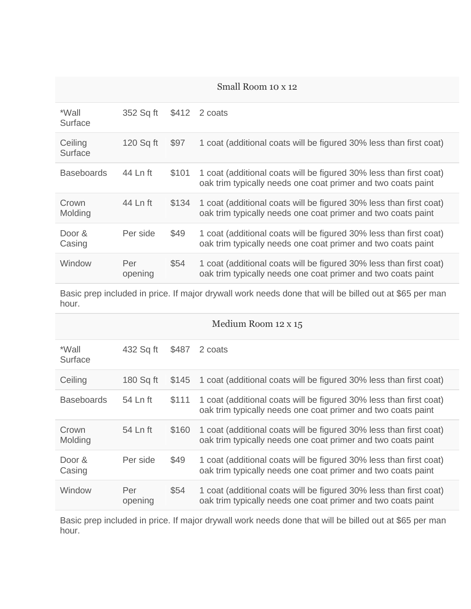## Small Room 10 x 12

| *Wall<br>Surface   | 352 Sq ft      | \$412 | 2 coats                                                                                                                            |
|--------------------|----------------|-------|------------------------------------------------------------------------------------------------------------------------------------|
| Ceiling<br>Surface | 120 Sq ft      | \$97  | 1 coat (additional coats will be figured 30% less than first coat)                                                                 |
| <b>Baseboards</b>  | 44 Ln ft       | \$101 | 1 coat (additional coats will be figured 30% less than first coat)<br>oak trim typically needs one coat primer and two coats paint |
| Crown<br>Molding   | 44 Ln ft       | \$134 | 1 coat (additional coats will be figured 30% less than first coat)<br>oak trim typically needs one coat primer and two coats paint |
| Door &<br>Casing   | Per side       | \$49  | 1 coat (additional coats will be figured 30% less than first coat)<br>oak trim typically needs one coat primer and two coats paint |
| Window             | Per<br>opening | \$54  | 1 coat (additional coats will be figured 30% less than first coat)<br>oak trim typically needs one coat primer and two coats paint |

Basic prep included in price. If major drywall work needs done that will be billed out at \$65 per man hour.

| Medium Room 12 x 15 |                |       |                                                                                                                                    |  |  |
|---------------------|----------------|-------|------------------------------------------------------------------------------------------------------------------------------------|--|--|
| *Wall<br>Surface    | 432 Sq ft      | \$487 | 2 coats                                                                                                                            |  |  |
| Ceiling             | 180 Sq ft      | \$145 | 1 coat (additional coats will be figured 30% less than first coat)                                                                 |  |  |
| <b>Baseboards</b>   | 54 Ln ft       | \$111 | 1 coat (additional coats will be figured 30% less than first coat)<br>oak trim typically needs one coat primer and two coats paint |  |  |
| Crown<br>Molding    | 54 Ln ft       | \$160 | 1 coat (additional coats will be figured 30% less than first coat)<br>oak trim typically needs one coat primer and two coats paint |  |  |
| Door $\&$<br>Casing | Per side       | \$49  | 1 coat (additional coats will be figured 30% less than first coat)<br>oak trim typically needs one coat primer and two coats paint |  |  |
| Window              | Per<br>opening | \$54  | 1 coat (additional coats will be figured 30% less than first coat)<br>oak trim typically needs one coat primer and two coats paint |  |  |

Basic prep included in price. If major drywall work needs done that will be billed out at \$65 per man hour.